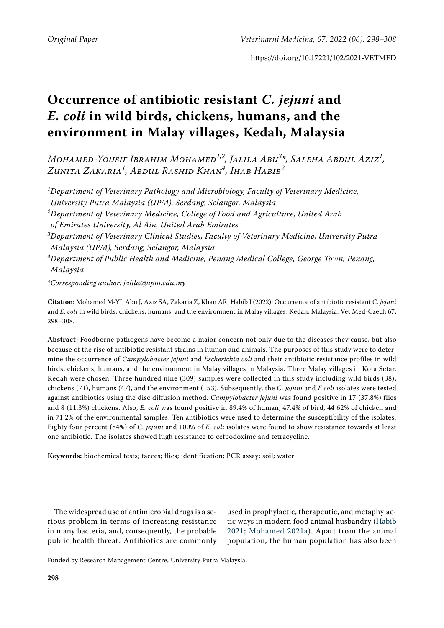# **Occurrence of antibiotic resistant** *C. jejuni* **and** *E. coli* **in wild birds, chickens, humans, and the environment in Malay villages, Kedah, Malaysia**

*Mohamed-Yousif Ibrahim Mohamed1,2, Jalila Abu3 \*, Saleha Abdul Aziz<sup>1</sup> , Zunita Zakaria<sup>1</sup> , Abdul Rashid Khan<sup>4</sup> , Ihab Habib<sup>2</sup>*

*1 Department of Veterinary Pathology and Microbiology, Faculty of Veterinary Medicine, University Putra Malaysia (UPM), Serdang, Selangor, Malaysia 2 Department of Veterinary Medicine, College of Food and Agriculture, United Arab of Emirates University, Al Ain, United Arab Emirates 3 Department of Veterinary Clinical Studies, Faculty of Veterinary Medicine, University Putra Malaysia (UPM), Serdang, Selangor, Malaysia 4 Department of Public Health and Medicine, Penang Medical College, George Town, Penang, Malaysia \*Corresponding author: jalila@upm.edu.my*

**Citation:** Mohamed M-YI, Abu J, Aziz SA, Zakaria Z, Khan AR, Habib I (2022): Occurrence of antibiotic resistant *C. jejuni* and *E. coli* in wild birds, chickens, humans, and the environment in Malay villages, Kedah, Malaysia. Vet Med-Czech 67, 298–308.

**Abstract:** Foodborne pathogens have become a major concern not only due to the diseases they cause, but also because of the rise of antibiotic resistant strains in human and animals. The purposes of this study were to determine the occurrence of *Campylobacter jejuni* and *Escherichia coli* and their antibiotic resistance profiles in wild birds, chickens, humans, and the environment in Malay villages in Malaysia. Three Malay villages in Kota Setar, Kedah were chosen. Three hundred nine (309) samples were collected in this study including wild birds (38), chickens (71), humans (47), and the environment (153). Subsequently, the *C. jejuni* and *E coli* isolates were tested against antibiotics using the disc diffusion method. *Campylobacter jejuni* was found positive in 17 (37.8%) flies and 8 (11.3%) chickens. Also, *E. coli* was found positive in 89.4% of human, 47.4% of bird, 44 62% of chicken and in 71.2% of the environmental samples. Ten antibiotics were used to determine the susceptibility of the isolates. Eighty four percent (84%) of *C. jejuni* and 100% of *E. coli* isolates were found to show resistance towards at least one antibiotic. The isolates showed high resistance to cefpodoxime and tetracycline.

**Keywords:** biochemical tests; faeces; flies; identification; PCR assay; soil; water

The widespread use of antimicrobial drugs is a serious problem in terms of increasing resistance in many bacteria, and, consequently, the probable public health threat. Antibiotics are commonly used in prophylactic, therapeutic, and metaphylactic ways in modern food animal husbandry [\(Habib](#page-9-0) [2021](#page-9-0); [Mohamed 2021a](#page-9-1)). Apart from the animal population, the human population has also been

Funded by Research Management Centre, University Putra Malaysia.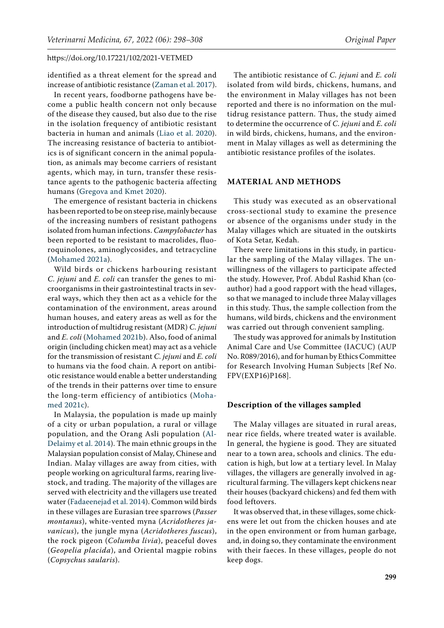identified as a threat element for the spread and increase of antibiotic resistance [\(Zaman et al. 2017\)](#page-10-0).

In recent years, foodborne pathogens have become a public health concern not only because of the disease they caused, but also due to the rise in the isolation frequency of antibiotic resistant bacteria in human and animals ([Liao et al. 2020](#page-9-2)). The increasing resistance of bacteria to antibiotics is of significant concern in the animal population, as animals may become carriers of resistant agents, which may, in turn, transfer these resistance agents to the pathogenic bacteria affecting humans [\(Gregova and Kmet 2020](#page-9-3)).

The emergence of resistant bacteria in chickens has been reported to be on steep rise, mainly because of the increasing numbers of resistant pathogens isolated from human infections. *Campylobacter* has been reported to be resistant to macrolides, fluoroquinolones, aminoglycosides, and tetracycline [\(Mohamed 2021a\)](#page-9-1).

Wild birds or chickens harbouring resistant *C. jejuni* and *E. coli* can transfer the genes to microorganisms in their gastrointestinal tracts in several ways, which they then act as a vehicle for the contamination of the environment, areas around human houses, and eatery areas as well as for the introduction of multidrug resistant (MDR) *C. jejuni* and *E. coli* ([Mohamed 2021b\)](#page-9-4). Also, food of animal origin (including chicken meat) may act as a vehicle for the transmission of resistant *C. jejuni* and *E. coli* to humans via the food chain. A report on antibiotic resistance would enable a better understanding of the trends in their patterns over time to ensure the long-term efficiency of antibiotics ([Moha](#page-9-5)[med 2021c](#page-9-5)).

In Malaysia, the population is made up mainly of a city or urban population, a rural or village population, and the Orang Asli population ([Al-](#page-8-0)[Delaimy et al. 2014](#page-8-0)). The main ethnic groups in the Malaysian population consist of Malay, Chinese and Indian. Malay villages are away from cities, with people working on agricultural farms, rearing livestock, and trading. The majority of the villages are served with electricity and the villagers use treated water [\(Fadaeenejad et al. 2014](#page-9-6)). Common wild birds in these villages are Eurasian tree sparrows (*Passer montanus*), white-vented myna (*Acridotheres javanicus*), the jungle myna (*Acridotheres fuscus*), the rock pigeon (*Columba livia*), peaceful doves (*Geopelia placida*), and Oriental magpie robins (*Copsychus saularis*).

The antibiotic resistance of *C. jejuni* and *E. coli* isolated from wild birds, chickens, humans, and the environment in Malay villages has not been reported and there is no information on the multidrug resistance pattern. Thus, the study aimed to determine the occurrence of *C. jejuni* and *E. coli* in wild birds, chickens, humans, and the environment in Malay villages as well as determining the antibiotic resistance profiles of the isolates.

#### **MATERIAL AND METHODS**

This study was executed as an observational cross-sectional study to examine the presence or absence of the organisms under study in the Malay villages which are situated in the outskirts of Kota Setar, Kedah.

There were limitations in this study, in particular the sampling of the Malay villages. The unwillingness of the villagers to participate affected the study. However, Prof. Abdul Rashid Khan (coauthor) had a good rapport with the head villages, so that we managed to include three Malay villages in this study. Thus, the sample collection from the humans, wild birds, chickens and the environment was carried out through convenient sampling.

The study was approved for animals by Institution Animal Care and Use Committee (IACUC) (AUP No. R089/2016), and for human by Ethics Committee for Research Involving Human Subjects [Ref No. FPV(EXP16)P168].

#### **Description of the villages sampled**

The Malay villages are situated in rural areas, near rice fields, where treated water is available. In general, the hygiene is good. They are situated near to a town area, schools and clinics. The education is high, but low at a tertiary level. In Malay villages, the villagers are generally involved in agricultural farming. The villagers kept chickens near their houses (backyard chickens) and fed them with food leftovers.

It was observed that, in these villages, some chickens were let out from the chicken houses and ate in the open environment or from human garbage, and, in doing so, they contaminate the environment with their faeces. In these villages, people do not keep dogs.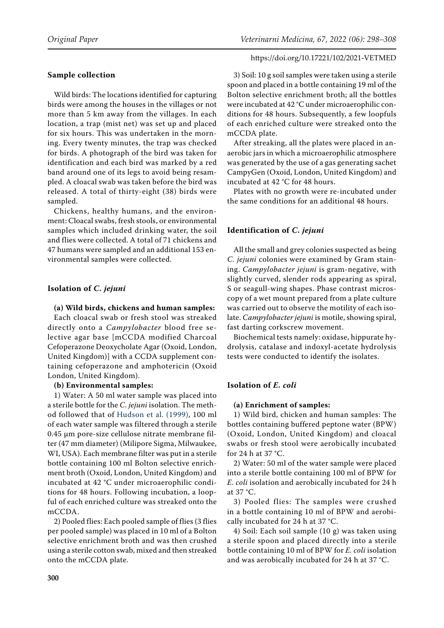# **Sample collection**

Wild birds: The locations identified for capturing birds were among the houses in the villages or not more than 5 km away from the villages. In each location, a trap (mist net) was set up and placed for six hours. This was undertaken in the morning. Every twenty minutes, the trap was checked for birds. A photograph of the bird was taken for identification and each bird was marked by a red band around one of its legs to avoid being resampled. A cloacal swab was taken before the bird was released. A total of thirty-eight (38) birds were sampled.

Chickens, healthy humans, and the environment: Cloacal swabs, fresh stools, or environmental samples which included drinking water, the soil and flies were collected. A total of 71 chickens and 47 humans were sampled and an additional 153 environmental samples were collected.

# **Isolation of** *C. jejuni*

## **(a) Wild birds, chickens and human samples:**

Each cloacal swab or fresh stool was streaked directly onto a *Campylobacter* blood free selective agar base [mCCDA modified Charcoal Cefoperazone Deoxycholate Agar (Oxoid, London, United Kingdom)] with a CCDA supplement containing cefoperazone and amphotericin (Oxoid London, United Kingdom).

# **(b) Environmental samples:**

1) Water: A 50 ml water sample was placed into a sterile bottle for the *C. jejuni* isolation. The method followed that of [Hudson et al. \(1999](#page-9-7)), 100 ml of each water sample was filtered through a sterile 0.45 μm pore-size cellulose nitrate membrane filter (47 mm diameter) (Milipore Sigma, Milwaukee, WI, USA). Each membrane filter was put in a sterile bottle containing 100 ml Bolton selective enrichment broth (Oxoid, London, United Kingdom) and incubated at 42 °C under microaerophilic conditions for 48 hours. Following incubation, a loopful of each enriched culture was streaked onto the mCCDA.

2) Pooled flies: Each pooled sample of flies (3 flies per pooled sample) was placed in 10 ml of a Bolton selective enrichment broth and was then crushed using a sterile cotton swab, mixed and then streaked onto the mCCDA plate.

### https://doi.org/10.17221/102/2021-VETMED

3) Soil: 10 g soil samples were taken using a sterile spoon and placed in a bottle containing 19 ml of the Bolton selective enrichment broth; all the bottles were incubated at 42 °C under microaerophilic conditions for 48 hours. Subsequently, a few loopfuls of each enriched culture were streaked onto the mCCDA plate.

After streaking, all the plates were placed in anaerobic jars in which a microaerophilic atmosphere was generated by the use of a gas generating sachet CampyGen (Oxoid, London, United Kingdom) and incubated at 42 °C for 48 hours.

Plates with no growth were re-incubated under the same conditions for an additional 48 hours.

# **Identification of** *C. jejuni*

All the small and grey colonies suspected as being *C. jejuni* colonies were examined by Gram staining. *Campylobacter jejuni* is gram-negative, with slightly curved, slender rods appearing as spiral, S or seagull-wing shapes. Phase contrast microscopy of a wet mount prepared from a plate culture was carried out to observe the motility of each isolate. *Campylobacter jejuni* is motile, showing spiral, fast darting corkscrew movement.

Biochemical tests namely: oxidase, hippurate hydrolysis, catalase and indoxyl-acetate hydrolysis tests were conducted to identify the isolates.

# **Isolation of** *E. coli*

## **(a) Enrichment of samples:**

1) Wild bird, chicken and human samples: The bottles containing buffered peptone water (BPW) (Oxoid, London, United Kingdom) and cloacal swabs or fresh stool were aerobically incubated for 24 h at 37 °C.

2) Water: 50 ml of the water sample were placed into a sterile bottle containing 100 ml of BPW for *E. coli* isolation and aerobically incubated for 24 h at 37 °C.

3) Pooled flies: The samples were crushed in a bottle containing 10 ml of BPW and aerobically incubated for 24 h at 37 °C.

4) Soil: Each soil sample (10 g) was taken using a sterile spoon and placed directly into a sterile bottle containing 10 ml of BPW for *E. coli* isolation and was aerobically incubated for 24 h at 37 °C.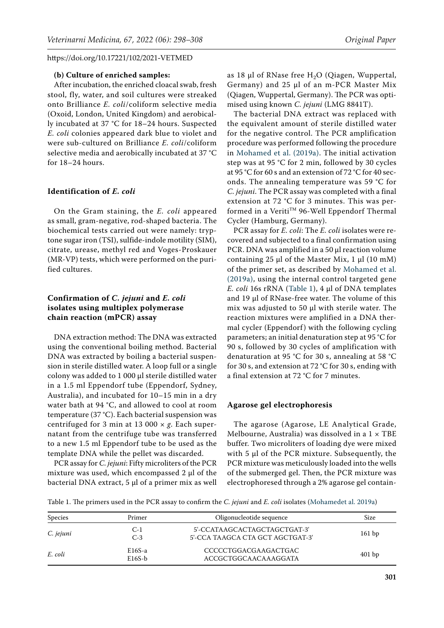#### **(b) Culture of enriched samples:**

After incubation, the enriched cloacal swab, fresh stool, fly, water, and soil cultures were streaked onto Brilliance *E. coli*/coliform selective media (Oxoid, London, United Kingdom) and aerobically incubated at 37 °C for 18–24 hours. Suspected *E. coli* colonies appeared dark blue to violet and were sub-cultured on Brilliance *E. coli*/coliform selective media and aerobically incubated at 37 °C for 18–24 hours.

#### **Identification of** *E. coli*

On the Gram staining, the *E. coli* appeared as small, gram-negative, rod-shaped bacteria. The biochemical tests carried out were namely: tryptone sugar iron (TSI), sulfide-indole motility (SIM), citrate, urease, methyl red and Voges-Proskauer (MR-VP) tests, which were performed on the purified cultures.

# **Confirmation of** *C. jejuni* **and** *E. coli* **isolates using multiplex polymerase chain reaction (mPCR) assay**

DNA extraction method: The DNA was extracted using the conventional boiling method. Bacterial DNA was extracted by boiling a bacterial suspension in sterile distilled water. A loop full or a single colony was added to 1 000 μl sterile distilled water in a 1.5 ml Eppendorf tube (Eppendorf, Sydney, Australia), and incubated for 10–15 min in a dry water bath at 94 °C, and allowed to cool at room temperature (37 °C). Each bacterial suspension was centrifuged for 3 min at 13 000 × *g*. Each supernatant from the centrifuge tube was transferred to a new 1.5 ml Eppendorf tube to be used as the template DNA while the pellet was discarded.

PCR assay for *C. jejuni*: Fifty microliters of the PCR mixture was used, which encompassed 2 µl of the bacterial DNA extract,  $5 \mu l$  of a primer mix as well as 18  $\mu$ l of RNase free H<sub>2</sub>O (Qiagen, Wuppertal, Germany) and  $25$  µl of an m-PCR Master Mix (Qiagen, Wuppertal, Germany). The PCR was optimised using known *C. jejuni* (LMG 8841T).

The bacterial DNA extract was replaced with the equivalent amount of sterile distilled water for the negative control. The PCR amplification procedure was performed following the procedure in [Mohamed et al. \(2019a\).](#page-9-8) The initial activation step was at 95 °C for 2 min, followed by 30 cycles at 95 °C for 60 s and an extension of 72 °C for 40 seconds. The annealing temperature was 59 °C for *C. jejuni*. The PCR assay was completed with a final extension at 72 °C for 3 minutes. This was performed in a Veriti™ 96-Well Eppendorf Thermal Cycler (Hamburg, Germany).

PCR assay for *E. coli*: The *E. coli* isolates were recovered and subjected to a final confirmation using PCR. DNA was amplified in a 50 μl reaction volume containing 25 μl of the Master Mix, 1 μl (10 mM) of the primer set, as described by [Mohamed et al.](#page-9-8) [\(2019a\),](#page-9-8) using the internal control targeted gene *E. coli* 16s rRNA ([Table 1](#page-3-0)), 4 μl of DNA templates and 19 μl of RNase-free water. The volume of this mix was adjusted to 50 μl with sterile water. The reaction mixtures were amplified in a DNA thermal cycler (Eppendorf) with the following cycling parameters; an initial denaturation step at 95 °C for 90 s, followed by 30 cycles of amplification with denaturation at 95 °C for 30 s, annealing at 58 °C for 30 s, and extension at 72 °C for 30 s, ending with a final extension at 72 °C for 7 minutes.

#### **Agarose gel electrophoresis**

The agarose (Agarose, LE Analytical Grade, Melbourne, Australia) was dissolved in a  $1 \times \text{TBE}$ buffer. Two microliters of loading dye were mixed with 5 µl of the PCR mixture. Subsequently, the PCR mixture was meticulously loaded into the wells of the submerged gel. Then, the PCR mixture was electrophoresed through a 2% agarose gel contain-

<span id="page-3-0"></span>Table 1. The primers used in the PCR assay to confirm the *C. jejuni* and *E. coli* isolates ([Mohamedet al. 2019a\)](#page-9-8)

| Species   | Primer               | Oligonucleotide sequence                                         | Size     |  |
|-----------|----------------------|------------------------------------------------------------------|----------|--|
| C. jejuni | $C-1$<br>$C-3$       | 5'-CCATAAGCACTAGCTAGCTGAT-3'<br>5'-CCA TAAGCA CTA GCT AGCTGAT-3' | 161bp    |  |
| E. coli   | $E16S-a$<br>$E16S-b$ | CCCCCTGGACGAAGACTGAC<br>ACCGCTGGCAACAAAGGATA                     | $401$ bp |  |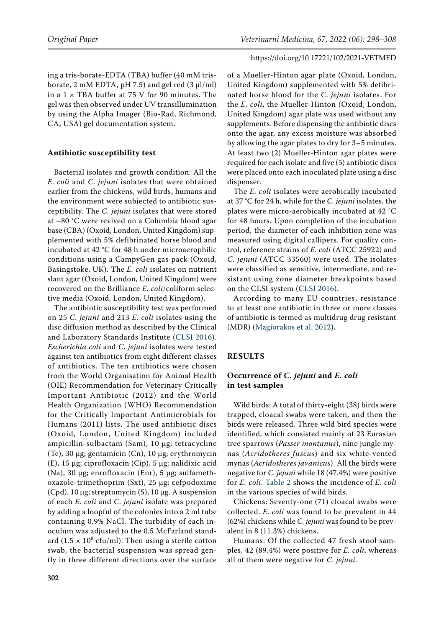ing a tris-borate-EDTA (TBA) buffer (40 mM trisborate, 2 mM EDTA, pH 7.5) and gel red  $(3 \mu l/ml)$ in a  $1 \times$  TBA buffer at 75 V for 90 minutes. The gel was then observed under UV transillumination by using the Alpha Imager (Bio-Rad, Richmond, CA, USA) gel documentation system.

## **Antibiotic susceptibility test**

Bacterial isolates and growth condition: All the *E. coli* and *C. jejuni* isolates that were obtained earlier from the chickens, wild birds, humans and the environment were subjected to antibiotic susceptibility. The *C. jejuni* isolates that were stored at –80 °C were revived on a Columbia blood agar base (CBA) (Oxoid, London, United Kingdom) supplemented with 5% defibrinated horse blood and incubated at 42 °C for 48 h under microaerophilic conditions using a CampyGen gas pack (Oxoid, Basingstoke, UK). The *E. coli* isolates on nutrient slant agar (Oxoid, London, United Kingdom) were recovered on the Brilliance *E. coli*/coliform selective media (Oxoid, London, United Kingdom).

The antibiotic susceptibility test was performed on 25 *C. jejuni* and 213 *E. coli* isolates using the disc diffusion method as described by the Clinical and Laboratory Standards Institute [\(CLSI 2016](#page-9-9)). *Escherichia coli* and *C. jejuni* isolates were tested against ten antibiotics from eight different classes of antibiotics. The ten antibiotics were chosen from the World Organisation for Animal Health (OIE) Recommendation for Veterinary Critically Important Antibiotic (2012) and the World Health Organization (WHO) Recommendation for the Critically Important Antimicrobials for Humans (2011) lists. The used antibiotic discs (Oxoid, London, United Kingdom) included ampicillin-sulbactam (Sam), 10 μg; tetracycline (Te), 30 μg; gentamicin (Cn), 10 μg; erythromycin (E), 15 μg; ciprofloxacin (Cip), 5 μg; nalidixic acid (Na), 30 μg; enrofloxacin (Enr), 5 μg; sulfamethoxazole-trimethoprim (Sxt), 25 μg; cefpodoxime (Cpd), 10 μg; streptomycin (S), 10 μg. A suspension of each *E. coli* and *C. jejuni* isolate was prepared by adding a loopful of the colonies into a 2 ml tube containing 0.9% NaCl. The turbidity of each inoculum was adjusted to the 0.5 McFarland standard  $(1.5 \times 10^8 \text{ cfu/ml})$ . Then using a sterile cotton swab, the bacterial suspension was spread gently in three different directions over the surface

of a Mueller-Hinton agar plate (Oxoid, London, United Kingdom) supplemented with 5% defibrinated horse blood for the *C. jejuni* isolates. For the *E. coli*, the Mueller-Hinton (Oxoid, London, United Kingdom) agar plate was used without any supplements. Before dispensing the antibiotic discs onto the agar, any excess moisture was absorbed by allowing the agar plates to dry for 3–5 minutes. At least two (2) Mueller-Hinton agar plates were required for each isolate and five (5) antibiotic discs were placed onto each inoculated plate using a disc dispenser.

The *E. coli* isolates were aerobically incubated at 37 °C for 24 h, while for the *C. jejuni* isolates, the plates were micro-aerobically incubated at 42 °C for 48 hours. Upon completion of the incubation period, the diameter of each inhibition zone was measured using digital callipers. For quality control, reference strains of *E. coli* (ATCC 25922) and *C. jejuni* (ATCC 33560) were used. The isolates were classified as sensitive, intermediate, and resistant using zone diameter breakpoints based on the CLSI system [\(CLSI 2016](#page-9-9)).

According to many EU countries, resistance to at least one antibiotic in three or more classes of antibiotic is termed as multidrug drug resistant (MDR) [\(Magiorakos et al. 2012\)](#page-9-10).

# **RESULTS**

# **Occurrence of** *C. jejuni* **and** *E. coli* **in test samples**

Wild birds: A total of thirty-eight (38) birds were trapped, cloacal swabs were taken, and then the birds were released. Three wild bird species were identified, which consisted mainly of 23 Eurasian tree sparrows (*Passer montanus*), nine jungle mynas (*Acridotheres fuscus*) and six white-vented mynas (*Acridotheres javanicus*). All the birds were negative for *C. jejuni* while 18 (47.4%) were positive for *E. coli*. [Table 2](#page-5-0) shows the incidence of *E. coli* in the various species of wild birds.

Chickens: Seventy-one (71) cloacal swabs were collected. *E. coli* was found to be prevalent in 44 (62%) chickens while *C. jejuni* was found to be prevalent in 8 (11.3%) chickens.

Humans: Of the collected 47 fresh stool samples, 42 (89.4%) were positive for *E. coli*, whereas all of them were negative for *C. jejuni*.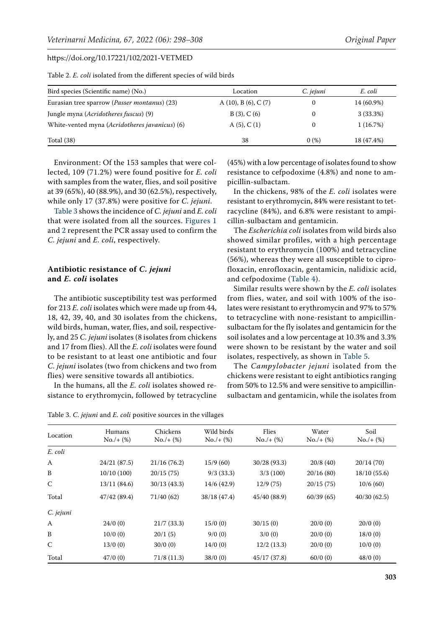| Bird species (Scientific name) (No.)                    | Location                     | C. jejuni | E. coli    |  |
|---------------------------------------------------------|------------------------------|-----------|------------|--|
| Eurasian tree sparrow ( <i>Passer montanus</i> ) (23)   | A $(10)$ , B $(6)$ , C $(7)$ |           | 14 (60.9%) |  |
| Jungle myna ( <i>Acridotheres fuscus</i> ) (9)          | B(3), C(6)                   |           | 3(33.3%)   |  |
| White-vented myna ( <i>Acridotheres javanicus</i> ) (6) | A(5), C(1)                   |           | 1(16.7%)   |  |
| Total $(38)$                                            | 38                           | 0(%)      | 18 (47.4%) |  |

<span id="page-5-0"></span>Table 2. *E. coli* isolated from the different species of wild birds

Environment: Of the 153 samples that were collected, 109 (71.2%) were found positive for *E. coli* with samples from the water, flies, and soil positive at 39 (65%), 40 (88.9%), and 30 (62.5%), respectively, while only 17 (37.8%) were positive for *C. jejuni*.

[Table 3](#page-5-1) shows the incidence of *C. jejuni* and *E. coli* that were isolated from all the sources. [Figures 1](#page-6-0) and [2](#page-6-1) represent the PCR assay used to confirm the *C. jejuni* and *E. coli*, respectively.

## **Antibiotic resistance of** *C. jejuni* **and** *E. coli* **isolates**

The antibiotic susceptibility test was performed for 213 *E. coli* isolates which were made up from 44, 18, 42, 39, 40, and 30 isolates from the chickens, wild birds, human, water, flies, and soil, respectively, and 25 *C. jejuni* isolates (8 isolates from chickens and 17 from flies). All the *E. coli* isolates were found to be resistant to at least one antibiotic and four *C. jejuni* isolates (two from chickens and two from flies) were sensitive towards all antibiotics.

In the humans, all the *E. coli* isolates showed resistance to erythromycin, followed by tetracycline

<span id="page-5-1"></span>Table 3. *C. jejuni* and *E. coli* positive sources in the villages

(45%) with a low percentage of isolates found to show resistance to cefpodoxime (4.8%) and none to ampicillin-sulbactam.

In the chickens, 98% of the *E. coli* isolates were resistant to erythromycin, 84% were resistant to tetracycline (84%), and 6.8% were resistant to ampicillin-sulbactam and gentamicin.

The *Escherichia coli* isolates from wild birds also showed similar profiles, with a high percentage resistant to erythromycin (100%) and tetracycline (56%), whereas they were all susceptible to ciprofloxacin, enrofloxacin, gentamicin, nalidixic acid, and cefpodoxime ([Table 4](#page-6-2)).

Similar results were shown by the *E. coli* isolates from flies, water, and soil with 100% of the isolates were resistant to erythromycin and 97% to 57% to tetracycline with none-resistant to ampicillinsulbactam for the fly isolates and gentamicin for the soil isolates and a low percentage at 10.3% and 3.3% were shown to be resistant by the water and soil isolates, respectively, as shown in [Table 5](#page-6-3).

The *Campylobacter jejuni* isolated from the chickens were resistant to eight antibiotics ranging from 50% to 12.5% and were sensitive to ampicillinsulbactam and gentamicin, while the isolates from

| Location  | Humans<br>$No./+ (%)$ | Chickens<br>$No./+ (%)$ | Wild birds<br>$No./+ (%)$ | Flies<br>$No./+ (%)$ | Water<br>$No./+ (%)$ | Soil<br>$No./+ (%)$ |
|-----------|-----------------------|-------------------------|---------------------------|----------------------|----------------------|---------------------|
| E. coli   |                       |                         |                           |                      |                      |                     |
| A         | 24/21(87.5)           | 21/16(76.2)             | 15/9(60)                  | 30/28(93.3)          | 20/8(40)             | 20/14(70)           |
| B         | 10/10(100)            | 20/15(75)               | 9/3(33.3)                 | 3/3(100)             | 20/16(80)            | 18/10(55.6)         |
| C         | 13/11 (84.6)          | 30/13(43.3)             | 14/6 (42.9)               | 12/9(75)             | 20/15(75)            | 10/6(60)            |
| Total     | 47/42 (89.4)          | 71/40(62)               | 38/18 (47.4)              | 45/40 (88.9)         | 60/39(65)            | 40/30(62.5)         |
| C. jejuni |                       |                         |                           |                      |                      |                     |
| A         | 24/0(0)               | 21/7(33.3)              | 15/0(0)                   | 30/15(0)             | 20/0(0)              | 20/0(0)             |
| B         | 10/0(0)               | 20/1(5)                 | 9/0(0)                    | 3/0(0)               | 20/0(0)              | 18/0(0)             |
| C         | 13/0(0)               | 30/0(0)                 | 14/0(0)                   | 12/2(13.3)           | 20/0(0)              | 10/0(0)             |
| Total     | 47/0(0)               | 71/8(11.3)              | 38/0(0)                   | 45/17(37.8)          | 60/0(0)              | 48/0(0)             |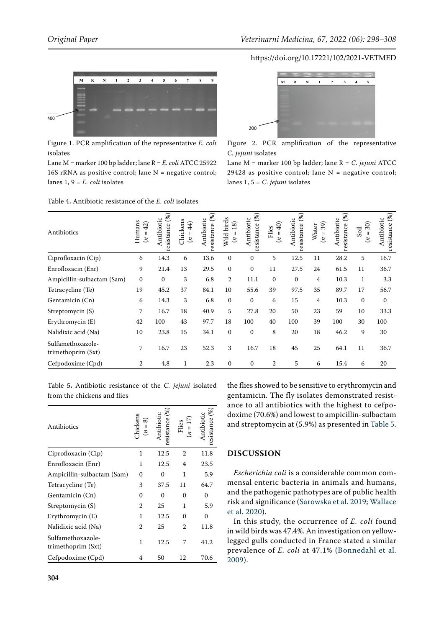<span id="page-6-0"></span>

Figure 1. PCR amplification of the representative *E. coli* isolates

Lane M = marker 100 bp ladder; lane R = *E. coli* ATCC 25922 16S  $rRNA$  as positive control; lane  $N =$  negative control; lanes 1, 9 = *E. coli* isolates

<span id="page-6-2"></span>Table 4**.** Antibiotic resistance of the *E. coli* isolates

<span id="page-6-1"></span>

Figure 2. PCR amplification of the representative *C. jejuni* isolates

Lane M = marker 100 bp ladder; lane R = *C. jejuni* ATCC 29428 as positive control; lane  $N =$  negative control; lanes 1, 5 = *C. jejuni* isolates

| Antibiotics                             | Humans<br>$=42$<br>$\ddot{z}$ | resistance (%)<br>Antibiotic | Chickens<br>$\overline{4}$<br>$\sf II$<br>$\mathfrak{z}$ | resistance (%)<br>Antibiotic | Wild birds<br>18)<br>$(n =$ | resistance (%)<br>untibiotic | $\widehat{40}$<br>Flies<br>$\sf II$<br>$\mathbf{z}$ | resistance (%)<br>Antibiotic | 39)<br>Water<br>$(n = 1)$ | resistance $(\%)$<br>Antibiotic | 30)<br>Soil<br>$\sf II$<br>$\tilde{z}$ | resistance (%)<br>Antibiotic |
|-----------------------------------------|-------------------------------|------------------------------|----------------------------------------------------------|------------------------------|-----------------------------|------------------------------|-----------------------------------------------------|------------------------------|---------------------------|---------------------------------|----------------------------------------|------------------------------|
| Ciprofloxacin (Cip)                     | 6                             | 14.3                         | 6                                                        | 13.6                         | $\mathbf{0}$                | $\Omega$                     | 5                                                   | 12.5                         | 11                        | 28.2                            | 5                                      | 16.7                         |
| Enrofloxacin (Enr)                      | 9                             | 21.4                         | 13                                                       | 29.5                         | $\mathbf{0}$                | $\mathbf{0}$                 | 11                                                  | 27.5                         | 24                        | 61.5                            | 11                                     | 36.7                         |
| Ampicillin-sulbactam (Sam)              | $\mathbf{0}$                  | $\mathbf{0}$                 | 3                                                        | 6.8                          | $\overline{2}$              | 11.1                         | $\mathbf{0}$                                        | $\mathbf{0}$                 | 4                         | 10.3                            | $\mathbf{1}$                           | 3.3                          |
| Tetracycline (Te)                       | 19                            | 45.2                         | 37                                                       | 84.1                         | 10                          | 55.6                         | 39                                                  | 97.5                         | 35                        | 89.7                            | 17                                     | 56.7                         |
| Gentamicin (Cn)                         | 6                             | 14.3                         | 3                                                        | 6.8                          | $\Omega$                    | $\Omega$                     | 6                                                   | 15                           | 4                         | 10.3                            | $\Omega$                               | $\mathbf{0}$                 |
| Streptomycin (S)                        | 7                             | 16.7                         | 18                                                       | 40.9                         | 5                           | 27.8                         | 20                                                  | 50                           | 23                        | 59                              | 10                                     | 33.3                         |
| Erythromycin (E)                        | 42                            | 100                          | 43                                                       | 97.7                         | 18                          | 100                          | 40                                                  | 100                          | 39                        | 100                             | 30                                     | 100                          |
| Nalidixic acid (Na)                     | 10                            | 23.8                         | 15                                                       | 34.1                         | $\mathbf{0}$                | $\mathbf{0}$                 | 8                                                   | 20                           | 18                        | 46.2                            | 9                                      | 30                           |
| Sulfamethoxazole-<br>trimethoprim (Sxt) | 7                             | 16.7                         | 23                                                       | 52.3                         | 3                           | 16.7                         | 18                                                  | 45                           | 25                        | 64.1                            | 11                                     | 36.7                         |
| Cefpodoxime (Cpd)                       | $\overline{2}$                | 4.8                          | 1                                                        | 2.3                          | $\mathbf{0}$                | $\mathbf{0}$                 | 2                                                   | 5                            | 6                         | 15.4                            | 6                                      | 20                           |

<span id="page-6-3"></span>Table 5**.** Antibiotic resistance of the *C. jejuni* isolated from the chickens and flies

| Antibiotics                             | hickens<br>ଛ<br>$\mathbf{I}$ | $(\%)$<br>resistance |                | resistance $(\%)$ |
|-----------------------------------------|------------------------------|----------------------|----------------|-------------------|
| Ciprofloxacin (Cip)                     | 1                            | 12.5                 | $\overline{2}$ | 11.8              |
| Enrofloxacin (Enr)                      | 1                            | 12.5                 | 4              | 23.5              |
| Ampicillin-sulbactam (Sam)              | $\Omega$                     | $\Omega$             | 1              | 5.9               |
| Tetracycline (Te)                       | 3                            | 37.5                 | 11             | 64.7              |
| Gentamicin (Cn)                         | 0                            | $\Omega$             | $\Omega$       | 0                 |
| Streptomycin (S)                        | 2                            | 25                   | 1              | 5.9               |
| Erythromycin (E)                        | 1                            | 12.5                 | 0              | 0                 |
| Nalidixic acid (Na)                     | 2                            | 25                   | 2              | 11.8              |
| Sulfamethoxazole-<br>trimethoprim (Sxt) | 1                            | 12.5                 | 7              | 41.2              |
| Cefpodoxime (Cpd)                       | 4                            | 50                   | 12             | 70.6              |

the flies showed to be sensitive to erythromycin and gentamicin. The fly isolates demonstrated resistance to all antibiotics with the highest to cefpodoxime (70.6%) and lowest to ampicillin-sulbactam and streptomycin at (5.9%) as presented in [Table 5](#page-6-3).

# **DISCUSSION**

*Escherichia coli* is a considerable common commensal enteric bacteria in animals and humans, and the pathogenic pathotypes are of public health risk and significance ([Sarowska et al. 2019](#page-10-1); [Wallace](#page-10-2) [et al. 2020](#page-10-2)).

In this study, the occurrence of *E. coli* found in wild birds was 47.4%. An investigation on yellowlegged gulls conducted in France stated a similar prevalence of *E. coli* at 47.1% ([Bonnedahl et al.](#page-9-11) [2009\)](#page-9-11).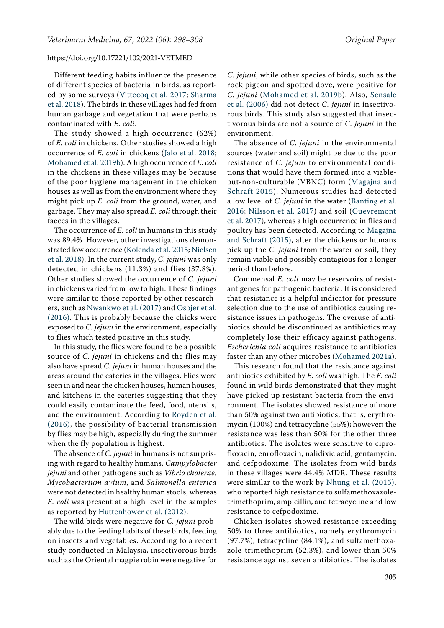Different feeding habits influence the presence of different species of bacteria in birds, as reported by some surveys ([Vittecoq et al. 2017](#page-10-3); [Sharma](#page-10-4)  [et al. 2018\)](#page-10-4). The birds in these villages had fed from human garbage and vegetation that were perhaps contaminated with *E. coli*.

The study showed a high occurrence (62%) of *E. coli* in chickens. Other studies showed a high occurrence of *E. coli* in chickens ([Jalo et al. 2018](#page-9-12); [Mohamed et al. 2019b\)](#page-9-13). A high occurrence of *E. coli* in the chickens in these villages may be because of the poor hygiene management in the chicken houses as well as from the environment where they might pick up *E. coli* from the ground, water, and garbage. They may also spread *E. coli* through their faeces in the villages.

The occurrence of *E. coli* in humans in this study was 89.4%. However, other investigations demonstrated low occurrence ([Kolenda et al. 2015;](#page-9-14) [Nielsen](#page-10-5)  [et al. 2018](#page-10-5)). In the current study, *C. jejuni* was only detected in chickens (11.3%) and flies (37.8%). Other studies showed the occurrence of *C. jejuni* in chickens varied from low to high. These findings were similar to those reported by other researchers, such as [Nwankwo et al. \(2017\)](#page-10-6) and [Osbjer et al.](#page-10-7)  [\(2016\).](#page-10-7) This is probably because the chicks were exposed to *C. jejuni* in the environment, especially to flies which tested positive in this study.

In this study, the flies were found to be a possible source of *C. jejuni* in chickens and the flies may also have spread *C. jejuni* in human houses and the areas around the eateries in the villages. Flies were seen in and near the chicken houses, human houses, and kitchens in the eateries suggesting that they could easily contaminate the feed, food, utensils, and the environment. According to [Royden et al.](#page-10-8)  [\(2016\)](#page-10-8), the possibility of bacterial transmission by flies may be high, especially during the summer when the fly population is highest.

The absence of *C. jejuni* in humans is not surprising with regard to healthy humans. *Campylobacter jejuni* and other pathogens such as *Vibrio cholerae*, *Mycobacterium avium*, and *Salmonella enterica* were not detected in healthy human stools, whereas *E. coli* was present at a high level in the samples as reported by [Huttenhower et al. \(2012\)](#page-9-15).

The wild birds were negative for *C. jejuni* probably due to the feeding habits of these birds, feeding on insects and vegetables. According to a recent study conducted in Malaysia, insectivorous birds such as the Oriental magpie robin were negative for

*C. jejuni*, while other species of birds, such as the rock pigeon and spotted dove, were positive for *C. jejuni* ([Mohamed et al. 2019b](#page-9-13)). Also, [Sensale](#page-10-9) [et al. \(2006\)](#page-10-9) did not detect *C. jejuni* in insectivorous birds. This study also suggested that insectivorous birds are not a source of *C. jejuni* in the environment.

The absence of *C. jejuni* in the environmental sources (water and soil) might be due to the poor resistance of *C. jejuni* to environmental conditions that would have them formed into a viablebut-non-culturable (VBNC) form ([Magajna and](#page-9-16) [Schraft 2015\)](#page-9-16). Numerous studies had detected a low level of *C. jejuni* in the water ([Banting et al.](#page-9-17) [2016](#page-9-17); [Nilsson et al. 2017](#page-10-10)) and soil [\(Guevremont](#page-9-18) [et al. 2017\)](#page-9-18), whereas a high occurrence in flies and poultry has been detected. According to [Magajna](#page-9-16) [and Schraft \(2015\),](#page-9-16) after the chickens or humans pick up the *C. jejuni* from the water or soil, they remain viable and possibly contagious for a longer period than before.

Commensal *E. coli* may be reservoirs of resistant genes for pathogenic bacteria. It is considered that resistance is a helpful indicator for pressure selection due to the use of antibiotics causing resistance issues in pathogens. The overuse of antibiotics should be discontinued as antibiotics may completely lose their efficacy against pathogens. *Escherichia coli* acquires resistance to antibiotics faster than any other microbes [\(Mohamed 2021a](#page-9-1)).

This research found that the resistance against antibiotics exhibited by *E. coli* was high. The *E. coli* found in wild birds demonstrated that they might have picked up resistant bacteria from the environment. The isolates showed resistance of more than 50% against two antibiotics, that is, erythromycin (100%) and tetracycline (55%); however; the resistance was less than 50% for the other three antibiotics. The isolates were sensitive to ciprofloxacin, enrofloxacin, nalidixic acid, gentamycin, and cefpodoxime. The isolates from wild birds in these villages were 44.4% MDR. These results were similar to the work by [Nhung et al. \(2015\)](#page-9-19), who reported high resistance to sulfamethoxazoletrimethoprim, ampicillin, and tetracycline and low resistance to cefpodoxime.

Chicken isolates showed resistance exceeding 50% to three antibiotics, namely erythromycin (97.7%), tetracycline (84.1%), and sulfamethoxazole-trimethoprim (52.3%), and lower than 50% resistance against seven antibiotics. The isolates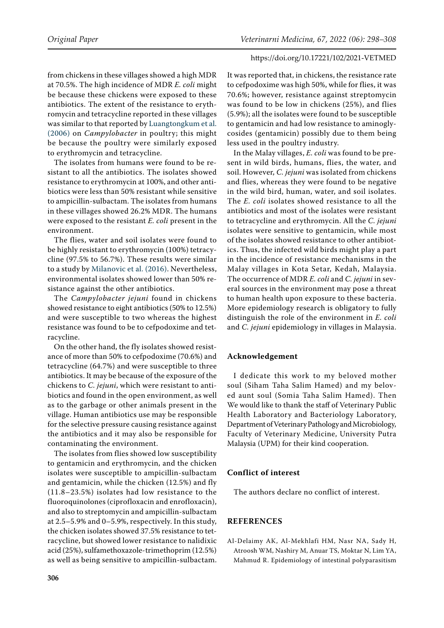from chickens in these villages showed a high MDR at 70.5%. The high incidence of MDR *E. coli* might be because these chickens were exposed to these antibiotics. The extent of the resistance to erythromycin and tetracycline reported in these villages was similar to that reported by [Luangtongkum et al.](#page-9-20)  [\(2006\)](#page-9-20) on *Campylobacter* in poultry; this might be because the poultry were similarly exposed to erythromycin and tetracycline.

The isolates from humans were found to be resistant to all the antibiotics. The isolates showed resistance to erythromycin at 100%, and other antibiotics were less than 50% resistant while sensitive to ampicillin-sulbactam. The isolates from humans in these villages showed 26.2% MDR. The humans were exposed to the resistant *E. coli* present in the environment.

The flies, water and soil isolates were found to be highly resistant to erythromycin (100%) tetracycline (97.5% to 56.7%). These results were similar to a study by [Milanovic et al. \(2016\).](#page-9-21) Nevertheless, environmental isolates showed lower than 50% resistance against the other antibiotics.

The *Campylobacter jejuni* found in chickens showed resistance to eight antibiotics (50% to 12.5%) and were susceptible to two whereas the highest resistance was found to be to cefpodoxime and tetracycline.

On the other hand, the fly isolates showed resistance of more than 50% to cefpodoxime (70.6%) and tetracycline (64.7%) and were susceptible to three antibiotics. It may be because of the exposure of the chickens to *C. jejuni*, which were resistant to antibiotics and found in the open environment, as well as to the garbage or other animals present in the village. Human antibiotics use may be responsible for the selective pressure causing resistance against the antibiotics and it may also be responsible for contaminating the environment.

The isolates from flies showed low susceptibility to gentamicin and erythromycin, and the chicken isolates were susceptible to ampicillin-sulbactam and gentamicin, while the chicken (12.5%) and fly (11.8–23.5%) isolates had low resistance to the fluoroquinolones (ciprofloxacin and enrofloxacin), and also to streptomycin and ampicillin-sulbactam at 2.5–5.9% and 0–5.9%, respectively. In this study, the chicken isolates showed 37.5% resistance to tetracycline, but showed lower resistance to nalidixic acid (25%), sulfamethoxazole-trimethoprim (12.5%) as well as being sensitive to ampicillin-sulbactam.

It was reported that, in chickens, the resistance rate to cefpodoxime was high 50%, while for flies, it was 70.6%; however, resistance against streptomycin was found to be low in chickens (25%), and flies (5.9%); all the isolates were found to be susceptible to gentamicin and had low resistance to aminoglycosides (gentamicin) possibly due to them being less used in the poultry industry.

In the Malay villages, *E. coli* was found to be present in wild birds, humans, flies, the water, and soil. However, *C. jejuni* was isolated from chickens and flies, whereas they were found to be negative in the wild bird, human, water, and soil isolates. The *E. coli* isolates showed resistance to all the antibiotics and most of the isolates were resistant to tetracycline and erythromycin. All the *C. jejuni* isolates were sensitive to gentamicin, while most of the isolates showed resistance to other antibiotics. Thus, the infected wild birds might play a part in the incidence of resistance mechanisms in the Malay villages in Kota Setar, Kedah, Malaysia. The occurrence of MDR *E. coli* and *C. jejuni* in several sources in the environment may pose a threat to human health upon exposure to these bacteria. More epidemiology research is obligatory to fully distinguish the role of the environment in *E. coli* and *C. jejuni* epidemiology in villages in Malaysia.

## **Acknowledgement**

I dedicate this work to my beloved mother soul (Siham Taha Salim Hamed) and my beloved aunt soul (Somia Taha Salim Hamed). Then We would like to thank the staff of Veterinary Public Health Laboratory and Bacteriology Laboratory, Department of Veterinary Pathology and Microbiology, Faculty of Veterinary Medicine, University Putra Malaysia (UPM) for their kind cooperation.

## **Conflict of interest**

The authors declare no conflict of interest.

# **REFERENCES**

<span id="page-8-0"></span>Al-Delaimy AK, Al-Mekhlafi HM, Nasr NA, Sady H, Atroosh WM, Nashiry M, Anuar TS, Moktar N, Lim YA, Mahmud R. Epidemiology of intestinal polyparasitism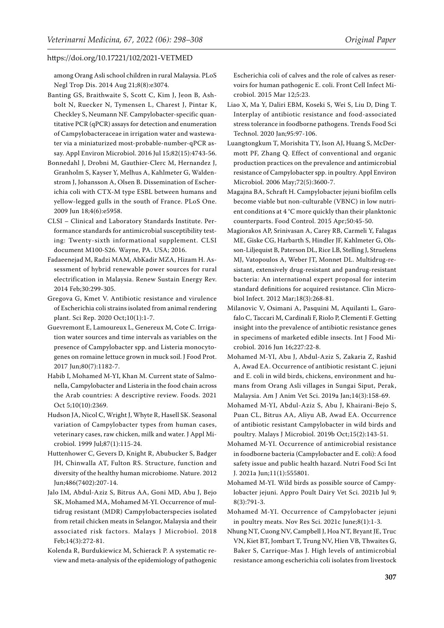among Orang Asli school children in rural Malaysia. PLoS Negl Trop Dis. 2014 Aug 21;8(8):e3074.

- <span id="page-9-17"></span>Banting GS, Braithwaite S, Scott C, Kim J, Jeon B, Ashbolt N, Ruecker N, Tymensen L, Charest J, Pintar K, Checkley S, Neumann NF. Campylobacter-specific quantitative PCR (qPCR) assays for detection and enumeration of Campylobacteraceae in irrigation water and wastewater via a miniaturized most-probable-number-qPCR assay. Appl Environ Microbiol. 2016 Jul 15;82(15):4743-56.
- <span id="page-9-11"></span>Bonnedahl J, Drobni M, Gauthier-Clerc M, Hernandez J, Granholm S, Kayser Y, Melhus A, Kahlmeter G, Waldenstrom J, Johansson A, Olsen B. Dissemination of Escherichia coli with CTX-M type ESBL between humans and yellow-legged gulls in the south of France. PLoS One. 2009 Jun 18;4(6):e5958.
- <span id="page-9-9"></span>CLSI – Clinical and Laboratory Standards Institute. Performance standards for antimicrobial susceptibility testing: Twenty-sixth informational supplement. CLSI document M100-S26. Wayne, PA. USA; 2016.
- <span id="page-9-6"></span>Fadaeenejad M, Radzi MAM, AbKadir MZA, Hizam H. Assessment of hybrid renewable power sources for rural electrification in Malaysia. Renew Sustain Energy Rev. 2014 Feb;30:299-305.
- <span id="page-9-3"></span>Gregova G, Kmet V. Antibiotic resistance and virulence of Escherichia coli strains isolated from animal rendering plant. Sci Rep. 2020 Oct;10(1):1-7.
- <span id="page-9-18"></span>Guevremont E, Lamoureux L, Genereux M, Cote C. Irrigation water sources and time intervals as variables on the presence of Campylobacter spp. and Listeria monocytogenes on romaine lettuce grown in muck soil. J Food Prot. 2017 Jun;80(7):1182-7.
- <span id="page-9-0"></span>Habib I, Mohamed M-YI, Khan M. Current state of Salmonella, Campylobacter and Listeria in the food chain across the Arab countries: A descriptive review. Foods. 2021 Oct 5;10(10):2369.
- <span id="page-9-7"></span>Hudson JA, Nicol C, Wright J, Whyte R, Hasell SK. Seasonal variation of Campylobacter types from human cases, veterinary cases, raw chicken, milk and water. J Appl Microbiol. 1999 Jul;87(1):115-24.
- <span id="page-9-15"></span>Huttenhower C, Gevers D, Knight R, Abubucker S, Badger JH, Chinwalla AT, Fulton RS. Structure, function and diversity of the healthy human microbiome. Nature. 2012 Jun;486(7402):207-14.
- <span id="page-9-12"></span>Jalo IM, Abdul-Aziz S, Bitrus AA, Goni MD, Abu J, Bejo SK, Mohamed MA, Mohamed M-YI. Occurrence of multidrug resistant (MDR) Campylobacterspecies isolated from retail chicken meats in Selangor, Malaysia and their associated risk factors. Malays J Microbiol. 2018 Feb;14(3):272-81.
- <span id="page-9-14"></span>Kolenda R, Burdukiewicz M, Schierack P. A systematic review and meta-analysis of the epidemiology of pathogenic

Escherichia coli of calves and the role of calves as reservoirs for human pathogenic E. coli. Front Cell Infect Microbiol. 2015 Mar 12;5:23.

- <span id="page-9-2"></span>Liao X, Ma Y, Daliri EBM, Koseki S, Wei S, Liu D, Ding T. Interplay of antibiotic resistance and food-associated stress tolerance in foodborne pathogens. Trends Food Sci Technol. 2020 Jan;95:97-106.
- <span id="page-9-20"></span>Luangtongkum T, Morishita TY, Ison AJ, Huang S, McDermott PF, Zhang Q. Effect of conventional and organic production practices on the prevalence and antimicrobial resistance of Campylobacter spp. in poultry. Appl Environ Microbiol. 2006 May;72(5):3600-7.
- <span id="page-9-16"></span>Magajna BA, Schraft H. Campylobacter jejuni biofilm cells become viable but non-culturable (VBNC) in low nutrient conditions at 4 °C more quickly than their planktonic counterparts. Food Control. 2015 Apr;50:45-50.
- <span id="page-9-10"></span>Magiorakos AP, Srinivasan A, Carey RB, Carmeli Y, Falagas ME, Giske CG, Harbarth S, Hindler JF, Kahlmeter G, Olsson-Liljequist B, Paterson DL, Rice LB, Stelling J, Struelens MJ, Vatopoulos A, Weber JT, Monnet DL. Multidrug-resistant, extensively drug-resistant and pandrug-resistant bacteria: An international expert proposal for interim standard definitions for acquired resistance. Clin Microbiol Infect. 2012 Mar;18(3):268-81.
- <span id="page-9-21"></span>Milanovic V, Osimani A, Pasquini M, Aquilanti L, Garofalo C, Taccari M, Cardinali F, Riolo P, Clementi F. Getting insight into the prevalence of antibiotic resistance genes in specimens of marketed edible insects. Int J Food Microbiol. 2016 Jun 16;227:22-8.
- <span id="page-9-8"></span>Mohamed M-YI, Abu J, Abdul-Aziz S, Zakaria Z, Rashid A, Awad EA. Occurrence of antibiotic resistant C. jejuni and E. coli in wild birds, chickens, environment and humans from Orang Asli villages in Sungai Siput, Perak, Malaysia. Am J Anim Vet Sci. 2019a Jan;14(3):158-69.
- <span id="page-9-13"></span>Mohamed M-YI, Abdul-Aziz S, Abu J, Khairani-Bejo S, Puan CL, Bitrus AA, Aliyu AB, Awad EA. Occurrence of antibiotic resistant Campylobacter in wild birds and poultry. Malays J Microbiol. 2019b Oct;15(2):143-51.
- <span id="page-9-1"></span>Mohamed M-YI. Occurrence of antimicrobial resistance in foodborne bacteria (Campylobacter and E. coli): A food safety issue and public health hazard. Nutri Food Sci Int J. 2021a Jun;11(1):555801.
- <span id="page-9-4"></span>Mohamed M-YI. Wild birds as possible source of Campylobacter jejuni. Appro Poult Dairy Vet Sci. 2021b Jul 9; 8(3):791-3.
- <span id="page-9-5"></span>Mohamed M-YI. Occurrence of Campylobacter jejuni in poultry meats. Nov Res Sci. 2021c June;8(1):1-3.
- <span id="page-9-19"></span>Nhung NT, Cuong NV, Campbell J, Hoa NT, Bryant JE, Truc VN, Kiet BT, Jombart T, Trung NV, Hien VB, Thwaites G, Baker S, Carrique-Mas J. High levels of antimicrobial resistance among escherichia coli isolates from livestock